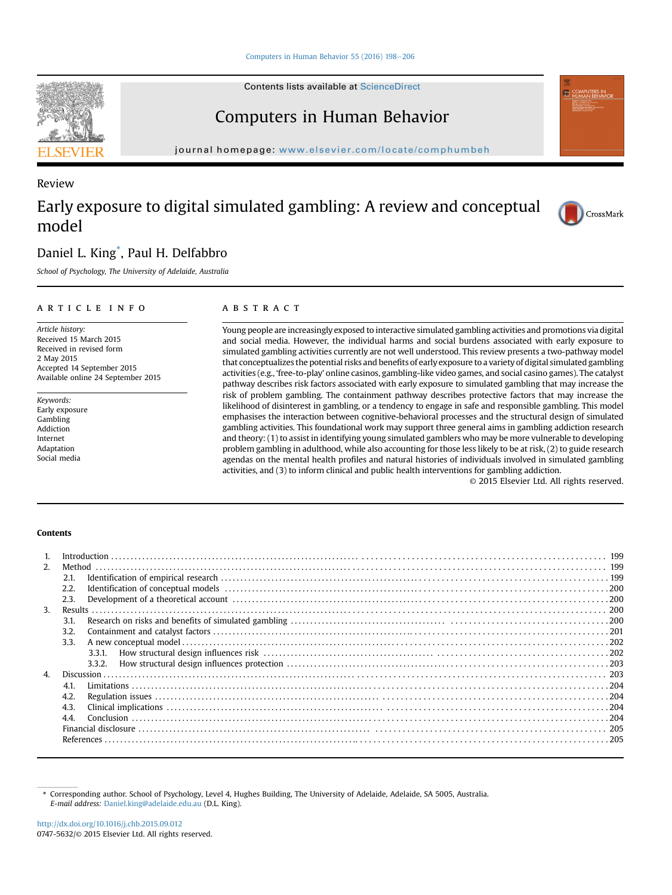Contents lists available at ScienceDirect

## Computers in Human Behavior

journal homepage: <www.elsevier.com/locate/comphumbeh>

## Early exposure to digital simulated gambling: A review and conceptual model

### Daniel L. King\* , Paul H. Delfabbro

School of Psychology, The University of Adelaide, Australia

#### article info

Article history: Received 15 March 2015 Received in revised form 2 May 2015 Accepted 14 September 2015 Available online 24 September 2015

Keywords: Early exposure Gambling Addiction Internet Adaptation Social media

#### **ABSTRACT**

Young people are increasingly exposed to interactive simulated gambling activities and promotions via digital and social media. However, the individual harms and social burdens associated with early exposure to simulated gambling activities currently are not well understood. This review presents a two-pathway model that conceptualizes the potential risks and benefits of early exposure to a variety of digital simulated gambling activities (e.g., 'free-to-play' online casinos, gambling-like video games, and social casino games). The catalyst pathway describes risk factors associated with early exposure to simulated gambling that may increase the risk of problem gambling. The containment pathway describes protective factors that may increase the likelihood of disinterest in gambling, or a tendency to engage in safe and responsible gambling. This model emphasises the interaction between cognitive-behavioral processes and the structural design of simulated gambling activities. This foundational work may support three general aims in gambling addiction research and theory: (1) to assist in identifying young simulated gamblers who may be more vulnerable to developing problem gambling in adulthood, while also accounting for those less likely to be at risk, (2) to guide research agendas on the mental health profiles and natural histories of individuals involved in simulated gambling activities, and (3) to inform clinical and public health interventions for gambling addiction.

© 2015 Elsevier Ltd. All rights reserved.

#### Contents

| $\mathbf{1}$ . |      |        |  |
|----------------|------|--------|--|
| 2.             |      |        |  |
|                | 2.1. |        |  |
|                | 2.2. |        |  |
|                | 2.3. |        |  |
| 3.             |      |        |  |
|                | 3.1. |        |  |
|                | 3.2. |        |  |
|                | 3.3. |        |  |
|                |      | 3.3.1. |  |
|                |      | 3.3.2. |  |
| $\overline{4}$ |      |        |  |
|                | 4.1. |        |  |
|                | 4.2. |        |  |
|                | 4.3. |        |  |
|                | 44   |        |  |
|                |      |        |  |
|                |      |        |  |
|                |      |        |  |

\* Corresponding author. School of Psychology, Level 4, Hughes Building, The University of Adelaide, Adelaide, SA 5005, Australia. E-mail address: [Daniel.king@adelaide.edu.au](mailto:Daniel.king@adelaide.edu.au) (D.L. King).



Review



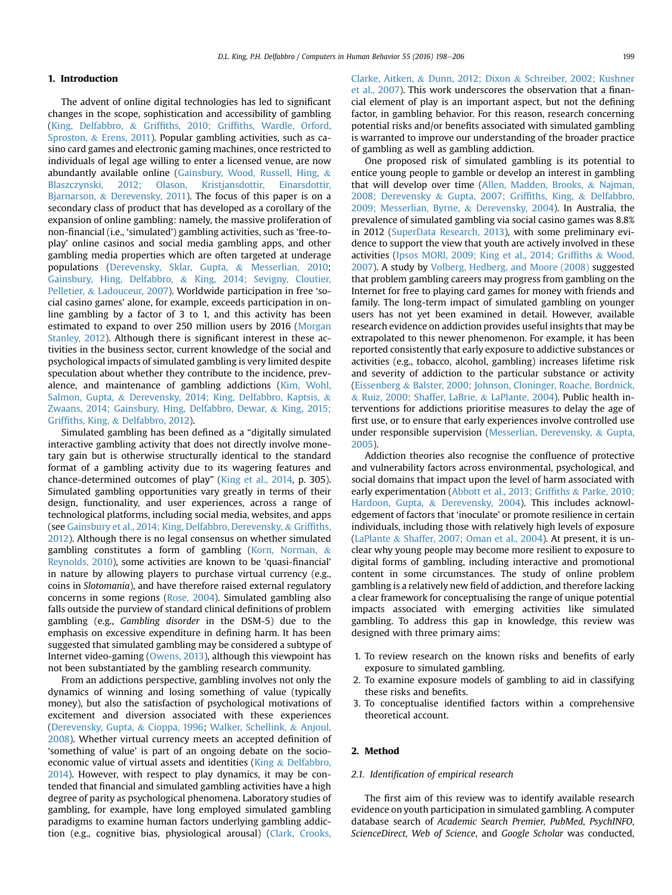#### 1. Introduction

The advent of online digital technologies has led to significant changes in the scope, sophistication and accessibility of gambling ([King, Delfabbro,](#page--1-0) & Griffiths, 2010; Griffi[ths, Wardle, Orford,](#page--1-0) [Sproston,](#page--1-0) & [Erens, 2011\)](#page--1-0). Popular gambling activities, such as casino card games and electronic gaming machines, once restricted to individuals of legal age willing to enter a licensed venue, are now abundantly available online ([Gainsbury, Wood, Russell, Hing,](#page--1-0) & [Blaszczynski, 2012; Olason, Kristjansdottir, Einarsdottir,](#page--1-0) [Bjarnarson,](#page--1-0) & [Derevensky, 2011](#page--1-0)). The focus of this paper is on a secondary class of product that has developed as a corollary of the expansion of online gambling: namely, the massive proliferation of non-financial (i.e., 'simulated') gambling activities, such as 'free-toplay' online casinos and social media gambling apps, and other gambling media properties which are often targeted at underage populations [\(Derevensky, Sklar, Gupta,](#page--1-0) & [Messerlian, 2010;](#page--1-0) [Gainsbury, Hing, Delfabbro,](#page--1-0) & [King, 2014; Sevigny, Cloutier,](#page--1-0) [Pelletier,](#page--1-0) & [Ladouceur, 2007](#page--1-0)). Worldwide participation in free 'social casino games' alone, for example, exceeds participation in online gambling by a factor of 3 to 1, and this activity has been estimated to expand to over 250 million users by 2016 [\(Morgan](#page--1-0) [Stanley, 2012](#page--1-0)). Although there is significant interest in these activities in the business sector, current knowledge of the social and psychological impacts of simulated gambling is very limited despite speculation about whether they contribute to the incidence, prevalence, and maintenance of gambling addictions ([Kim, Wohl,](#page--1-0) [Salmon, Gupta,](#page--1-0) & [Derevensky, 2014; King, Delfabbro, Kaptsis,](#page--1-0) & [Zwaans, 2014; Gainsbury, Hing, Delfabbro, Dewar,](#page--1-0) & [King, 2015;](#page--1-0) Griffi[ths, King,](#page--1-0) & [Delfabbro, 2012\)](#page--1-0).

Simulated gambling has been defined as a "digitally simulated interactive gambling activity that does not directly involve monetary gain but is otherwise structurally identical to the standard format of a gambling activity due to its wagering features and chance-determined outcomes of play" [\(King et al., 2014](#page--1-0), p. 305). Simulated gambling opportunities vary greatly in terms of their design, functionality, and user experiences, across a range of technological platforms, including social media, websites, and apps (see [Gainsbury et al., 2014; King, Delfabbro, Derevensky,](#page--1-0) & [Grif](#page--1-0)fiths, [2012\)](#page--1-0). Although there is no legal consensus on whether simulated gambling constitutes a form of gambling ([Korn, Norman,](#page--1-0)  $\&$ [Reynolds, 2010\)](#page--1-0), some activities are known to be 'quasi-financial' in nature by allowing players to purchase virtual currency (e.g., coins in Slotomania), and have therefore raised external regulatory concerns in some regions [\(Rose, 2004](#page--1-0)). Simulated gambling also falls outside the purview of standard clinical definitions of problem gambling (e.g., Gambling disorder in the DSM-5) due to the emphasis on excessive expenditure in defining harm. It has been suggested that simulated gambling may be considered a subtype of Internet video-gaming ([Owens, 2013\)](#page--1-0), although this viewpoint has not been substantiated by the gambling research community.

From an addictions perspective, gambling involves not only the dynamics of winning and losing something of value (typically money), but also the satisfaction of psychological motivations of excitement and diversion associated with these experiences ([Derevensky, Gupta,](#page--1-0) & [Cioppa, 1996](#page--1-0); [Walker, Schellink,](#page--1-0) & [Anjoul,](#page--1-0) [2008\)](#page--1-0). Whether virtual currency meets an accepted definition of 'something of value' is part of an ongoing debate on the socioeconomic value of virtual assets and identities ([King](#page--1-0) & [Delfabbro,](#page--1-0) [2014\)](#page--1-0). However, with respect to play dynamics, it may be contended that financial and simulated gambling activities have a high degree of parity as psychological phenomena. Laboratory studies of gambling, for example, have long employed simulated gambling paradigms to examine human factors underlying gambling addiction (e.g., cognitive bias, physiological arousal) [\(Clark, Crooks,](#page--1-0)

[Clarke, Aitken,](#page--1-0) & [Dunn, 2012; Dixon](#page--1-0) & [Schreiber, 2002; Kushner](#page--1-0) [et al., 2007](#page--1-0)). This work underscores the observation that a financial element of play is an important aspect, but not the defining factor, in gambling behavior. For this reason, research concerning potential risks and/or benefits associated with simulated gambling is warranted to improve our understanding of the broader practice of gambling as well as gambling addiction.

One proposed risk of simulated gambling is its potential to entice young people to gamble or develop an interest in gambling that will develop over time [\(Allen, Madden, Brooks,](#page--1-0) & [Najman,](#page--1-0) [2008; Derevensky](#page--1-0) & [Gupta, 2007; Grif](#page--1-0)fiths, King, & [Delfabbro,](#page--1-0) [2009; Messerlian, Byrne,](#page--1-0) & [Derevensky, 2004](#page--1-0)). In Australia, the prevalence of simulated gambling via social casino games was 8.8% in 2012 [\(SuperData Research, 2013](#page--1-0)), with some preliminary evidence to support the view that youth are actively involved in these activities [\(Ipsos MORI, 2009; King et al., 2014; Grif](#page--1-0)fiths & [Wood,](#page--1-0) [2007\)](#page--1-0). A study by [Volberg, Hedberg, and Moore \(2008\)](#page--1-0) suggested that problem gambling careers may progress from gambling on the Internet for free to playing card games for money with friends and family. The long-term impact of simulated gambling on younger users has not yet been examined in detail. However, available research evidence on addiction provides useful insights that may be extrapolated to this newer phenomenon. For example, it has been reported consistently that early exposure to addictive substances or activities (e.g., tobacco, alcohol, gambling) increases lifetime risk and severity of addiction to the particular substance or activity ([Eissenberg](#page--1-0) & [Balster, 2000; Johnson, Cloninger, Roache, Bordnick,](#page--1-0) & [Ruiz, 2000; Shaffer, LaBrie,](#page--1-0) & [LaPlante, 2004](#page--1-0)). Public health interventions for addictions prioritise measures to delay the age of first use, or to ensure that early experiences involve controlled use under responsible supervision ([Messerlian, Derevensky,](#page--1-0) & [Gupta,](#page--1-0) [2005\)](#page--1-0).

Addiction theories also recognise the confluence of protective and vulnerability factors across environmental, psychological, and social domains that impact upon the level of harm associated with early experimentation ([Abbott et al., 2013; Grif](#page--1-0)fiths & [Parke, 2010;](#page--1-0) [Hardoon, Gupta,](#page--1-0) & [Derevensky, 2004](#page--1-0)). This includes acknowledgement of factors that 'inoculate' or promote resilience in certain individuals, including those with relatively high levels of exposure ([LaPlante](#page--1-0) & [Shaffer, 2007; Oman et al., 2004\)](#page--1-0). At present, it is unclear why young people may become more resilient to exposure to digital forms of gambling, including interactive and promotional content in some circumstances. The study of online problem gambling is a relatively new field of addiction, and therefore lacking a clear framework for conceptualising the range of unique potential impacts associated with emerging activities like simulated gambling. To address this gap in knowledge, this review was designed with three primary aims:

- 1. To review research on the known risks and benefits of early exposure to simulated gambling.
- 2. To examine exposure models of gambling to aid in classifying these risks and benefits.
- 3. To conceptualise identified factors within a comprehensive theoretical account.

#### 2. Method

#### 2.1. Identification of empirical research

The first aim of this review was to identify available research evidence on youth participation in simulated gambling. A computer database search of Academic Search Premier, PubMed, PsychINFO, ScienceDirect, Web of Science, and Google Scholar was conducted,